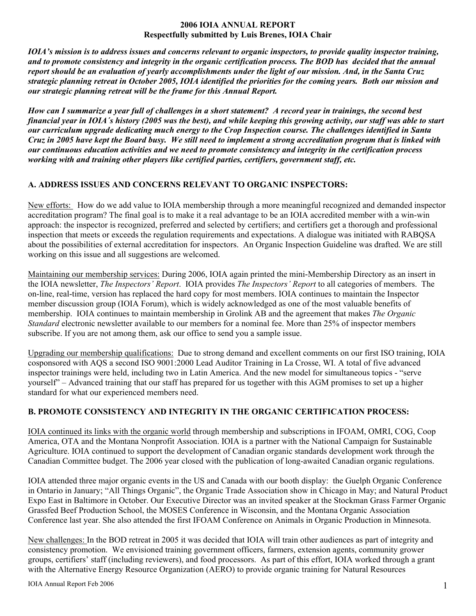#### **2006 IOIA ANNUAL REPORT Respectfully submitted by Luis Brenes, IOIA Chair**

*IOIA's mission is to address issues and concerns relevant to organic inspectors, to provide quality inspector training, and to promote consistency and integrity in the organic certification process. The BOD has decided that the annual report should be an evaluation of yearly accomplishments under the light of our mission. And, in the Santa Cruz strategic planning retreat in October 2005, IOIA identified the priorities for the coming years. Both our mission and our strategic planning retreat will be the frame for this Annual Report.* 

*How can I summarize a year full of challenges in a short statement? A record year in trainings, the second best financial year in IOIA´s history (2005 was the best), and while keeping this growing activity, our staff was able to start our curriculum upgrade dedicating much energy to the Crop Inspection course. The challenges identified in Santa Cruz in 2005 have kept the Board busy. We still need to implement a strong accreditation program that is linked with our continuous education activities and we need to promote consistency and integrity in the certification process working with and training other players like certified parties, certifiers, government staff, etc.* 

#### **A. ADDRESS ISSUES AND CONCERNS RELEVANT TO ORGANIC INSPECTORS:**

New efforts: How do we add value to IOIA membership through a more meaningful recognized and demanded inspector accreditation program? The final goal is to make it a real advantage to be an IOIA accredited member with a win-win approach: the inspector is recognized, preferred and selected by certifiers; and certifiers get a thorough and professional inspection that meets or exceeds the regulation requirements and expectations. A dialogue was initiated with RABQSA about the possibilities of external accreditation for inspectors. An Organic Inspection Guideline was drafted. We are still working on this issue and all suggestions are welcomed.

Maintaining our membership services: During 2006, IOIA again printed the mini-Membership Directory as an insert in the IOIA newsletter, *The Inspectors' Report*. IOIA provides *The Inspectors' Report* to all categories of members. The on-line, real-time, version has replaced the hard copy for most members. IOIA continues to maintain the Inspector member discussion group (IOIA Forum), which is widely acknowledged as one of the most valuable benefits of membership. IOIA continues to maintain membership in Grolink AB and the agreement that makes *The Organic Standard* electronic newsletter available to our members for a nominal fee. More than 25% of inspector members subscribe. If you are not among them, ask our office to send you a sample issue.

Upgrading our membership qualifications: Due to strong demand and excellent comments on our first ISO training, IOIA cosponsored with AQS a second ISO 9001:2000 Lead Auditor Training in La Crosse, WI. A total of five advanced inspector trainings were held, including two in Latin America. And the new model for simultaneous topics - "serve yourself" – Advanced training that our staff has prepared for us together with this AGM promises to set up a higher standard for what our experienced members need.

# **B. PROMOTE CONSISTENCY AND INTEGRITY IN THE ORGANIC CERTIFICATION PROCESS:**

IOIA continued its links with the organic world through membership and subscriptions in IFOAM, OMRI, COG, Coop America, OTA and the Montana Nonprofit Association. IOIA is a partner with the National Campaign for Sustainable Agriculture. IOIA continued to support the development of Canadian organic standards development work through the Canadian Committee budget. The 2006 year closed with the publication of long-awaited Canadian organic regulations.

IOIA attended three major organic events in the US and Canada with our booth display: the Guelph Organic Conference in Ontario in January; "All Things Organic", the Organic Trade Association show in Chicago in May; and Natural Product Expo East in Baltimore in October. Our Executive Director was an invited speaker at the Stockman Grass Farmer Organic Grassfed Beef Production School, the MOSES Conference in Wisconsin, and the Montana Organic Association Conference last year. She also attended the first IFOAM Conference on Animals in Organic Production in Minnesota.

New challenges: In the BOD retreat in 2005 it was decided that IOIA will train other audiences as part of integrity and consistency promotion. We envisioned training government officers, farmers, extension agents, community grower groups, certifiers' staff (including reviewers), and food processors. As part of this effort, IOIA worked through a grant with the Alternative Energy Resource Organization (AERO) to provide organic training for Natural Resources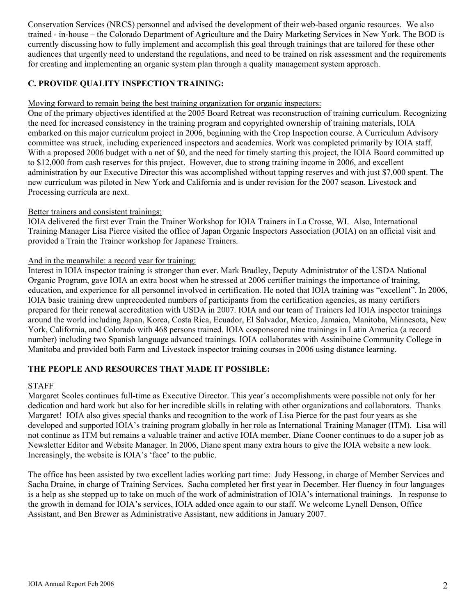Conservation Services (NRCS) personnel and advised the development of their web-based organic resources. We also trained - in-house – the Colorado Department of Agriculture and the Dairy Marketing Services in New York. The BOD is currently discussing how to fully implement and accomplish this goal through trainings that are tailored for these other audiences that urgently need to understand the regulations, and need to be trained on risk assessment and the requirements for creating and implementing an organic system plan through a quality management system approach.

## **C. PROVIDE QUALITY INSPECTION TRAINING:**

#### Moving forward to remain being the best training organization for organic inspectors:

One of the primary objectives identified at the 2005 Board Retreat was reconstruction of training curriculum. Recognizing the need for increased consistency in the training program and copyrighted ownership of training materials, IOIA embarked on this major curriculum project in 2006, beginning with the Crop Inspection course. A Curriculum Advisory committee was struck, including experienced inspectors and academics. Work was completed primarily by IOIA staff. With a proposed 2006 budget with a net of \$0, and the need for timely starting this project, the IOIA Board committed up to \$12,000 from cash reserves for this project. However, due to strong training income in 2006, and excellent administration by our Executive Director this was accomplished without tapping reserves and with just \$7,000 spent. The new curriculum was piloted in New York and California and is under revision for the 2007 season. Livestock and Processing curricula are next.

## Better trainers and consistent trainings:

IOIA delivered the first ever Train the Trainer Workshop for IOIA Trainers in La Crosse, WI. Also, International Training Manager Lisa Pierce visited the office of Japan Organic Inspectors Association (JOIA) on an official visit and provided a Train the Trainer workshop for Japanese Trainers.

#### And in the meanwhile: a record year for training:

Interest in IOIA inspector training is stronger than ever. Mark Bradley, Deputy Administrator of the USDA National Organic Program, gave IOIA an extra boost when he stressed at 2006 certifier trainings the importance of training, education, and experience for all personnel involved in certification. He noted that IOIA training was "excellent". In 2006, IOIA basic training drew unprecedented numbers of participants from the certification agencies, as many certifiers prepared for their renewal accreditation with USDA in 2007. IOIA and our team of Trainers led IOIA inspector trainings around the world including Japan, Korea, Costa Rica, Ecuador, El Salvador, Mexico, Jamaica, Manitoba, Minnesota, New York, California, and Colorado with 468 persons trained. IOIA cosponsored nine trainings in Latin America (a record number) including two Spanish language advanced trainings. IOIA collaborates with Assiniboine Community College in Manitoba and provided both Farm and Livestock inspector training courses in 2006 using distance learning.

#### **THE PEOPLE AND RESOURCES THAT MADE IT POSSIBLE:**

#### STAFF

Margaret Scoles continues full-time as Executive Director. This year´s accomplishments were possible not only for her dedication and hard work but also for her incredible skills in relating with other organizations and collaborators. Thanks Margaret! IOIA also gives special thanks and recognition to the work of Lisa Pierce for the past four years as she developed and supported IOIA's training program globally in her role as International Training Manager (ITM). Lisa will not continue as ITM but remains a valuable trainer and active IOIA member. Diane Cooner continues to do a super job as Newsletter Editor and Website Manager. In 2006, Diane spent many extra hours to give the IOIA website a new look. Increasingly, the website is IOIA's 'face' to the public.

The office has been assisted by two excellent ladies working part time: Judy Hessong, in charge of Member Services and Sacha Draine, in charge of Training Services. Sacha completed her first year in December. Her fluency in four languages is a help as she stepped up to take on much of the work of administration of IOIA's international trainings. In response to the growth in demand for IOIA's services, IOIA added once again to our staff. We welcome Lynell Denson, Office Assistant, and Ben Brewer as Administrative Assistant, new additions in January 2007.